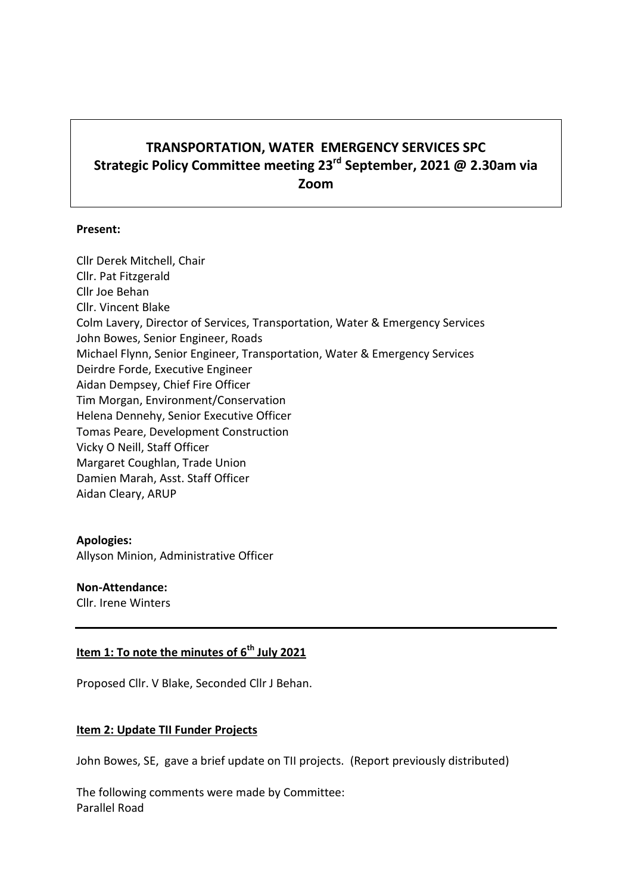# **TRANSPORTATION, WATER EMERGENCY SERVICES SPC Strategic Policy Committee meeting 23rd September, 2021 @ 2.30am via Zoom**

#### **Present:**

Cllr Derek Mitchell, Chair Cllr. Pat Fitzgerald Cllr Joe Behan Cllr. Vincent Blake Colm Lavery, Director of Services, Transportation, Water & Emergency Services John Bowes, Senior Engineer, Roads Michael Flynn, Senior Engineer, Transportation, Water & Emergency Services Deirdre Forde, Executive Engineer Aidan Dempsey, Chief Fire Officer Tim Morgan, Environment/Conservation Helena Dennehy, Senior Executive Officer Tomas Peare, Development Construction Vicky O Neill, Staff Officer Margaret Coughlan, Trade Union Damien Marah, Asst. Staff Officer Aidan Cleary, ARUP

#### **Apologies:**

Allyson Minion, Administrative Officer

### **Non-Attendance:**

Cllr. Irene Winters

# **Item 1: To note the minutes of 6 th July 2021**

Proposed Cllr. V Blake, Seconded Cllr J Behan.

#### **Item 2: Update TII Funder Projects**

John Bowes, SE, gave a brief update on TII projects. (Report previously distributed)

The following comments were made by Committee: Parallel Road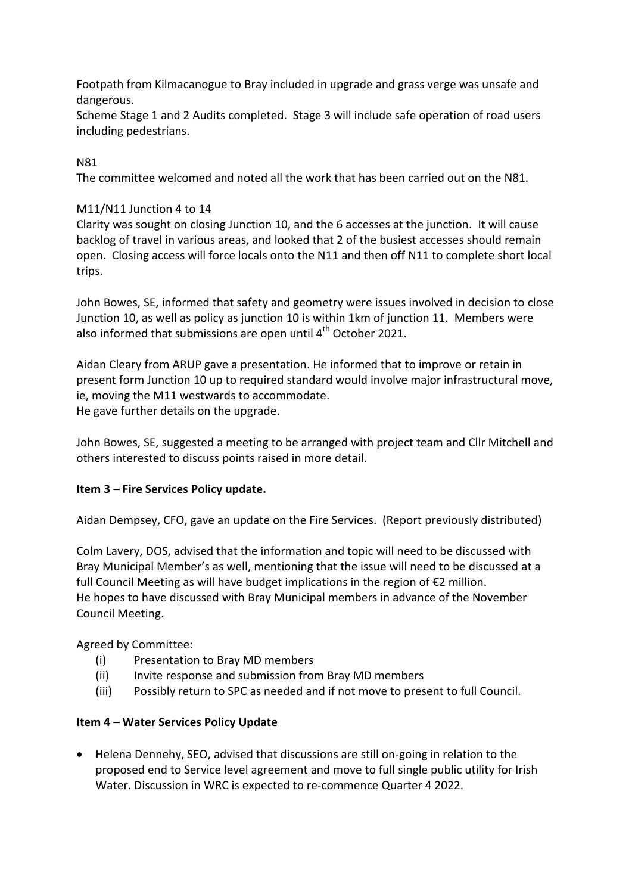Footpath from Kilmacanogue to Bray included in upgrade and grass verge was unsafe and dangerous.

Scheme Stage 1 and 2 Audits completed. Stage 3 will include safe operation of road users including pedestrians.

# N81

The committee welcomed and noted all the work that has been carried out on the N81.

# M11/N11 Junction 4 to 14

Clarity was sought on closing Junction 10, and the 6 accesses at the junction. It will cause backlog of travel in various areas, and looked that 2 of the busiest accesses should remain open. Closing access will force locals onto the N11 and then off N11 to complete short local trips.

John Bowes, SE, informed that safety and geometry were issues involved in decision to close Junction 10, as well as policy as junction 10 is within 1km of junction 11. Members were also informed that submissions are open until  $4<sup>th</sup>$  October 2021.

Aidan Cleary from ARUP gave a presentation. He informed that to improve or retain in present form Junction 10 up to required standard would involve major infrastructural move, ie, moving the M11 westwards to accommodate. He gave further details on the upgrade.

John Bowes, SE, suggested a meeting to be arranged with project team and Cllr Mitchell and others interested to discuss points raised in more detail.

### **Item 3 – Fire Services Policy update.**

Aidan Dempsey, CFO, gave an update on the Fire Services. (Report previously distributed)

Colm Lavery, DOS, advised that the information and topic will need to be discussed with Bray Municipal Member's as well, mentioning that the issue will need to be discussed at a full Council Meeting as will have budget implications in the region of €2 million. He hopes to have discussed with Bray Municipal members in advance of the November Council Meeting.

Agreed by Committee:

- (i) Presentation to Bray MD members
- (ii) Invite response and submission from Bray MD members
- (iii) Possibly return to SPC as needed and if not move to present to full Council.

### **Item 4 – Water Services Policy Update**

 Helena Dennehy, SEO, advised that discussions are still on-going in relation to the proposed end to Service level agreement and move to full single public utility for Irish Water. Discussion in WRC is expected to re-commence Quarter 4 2022.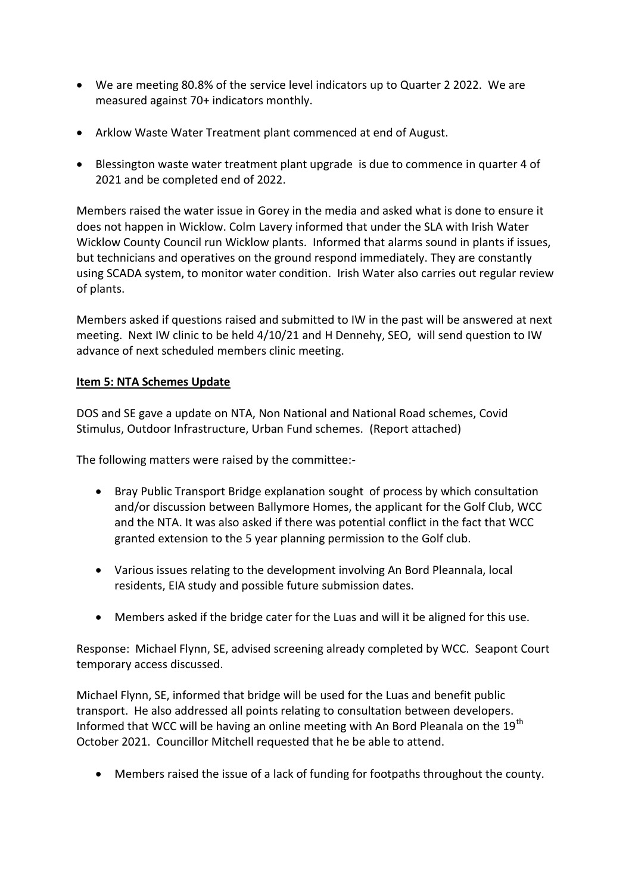- We are meeting 80.8% of the service level indicators up to Quarter 2 2022. We are measured against 70+ indicators monthly.
- Arklow Waste Water Treatment plant commenced at end of August.
- Blessington waste water treatment plant upgrade is due to commence in quarter 4 of 2021 and be completed end of 2022.

Members raised the water issue in Gorey in the media and asked what is done to ensure it does not happen in Wicklow. Colm Lavery informed that under the SLA with Irish Water Wicklow County Council run Wicklow plants. Informed that alarms sound in plants if issues, but technicians and operatives on the ground respond immediately. They are constantly using SCADA system, to monitor water condition. Irish Water also carries out regular review of plants.

Members asked if questions raised and submitted to IW in the past will be answered at next meeting. Next IW clinic to be held 4/10/21 and H Dennehy, SEO, will send question to IW advance of next scheduled members clinic meeting.

#### **Item 5: NTA Schemes Update**

DOS and SE gave a update on NTA, Non National and National Road schemes, Covid Stimulus, Outdoor Infrastructure, Urban Fund schemes. (Report attached)

The following matters were raised by the committee:-

- Bray Public Transport Bridge explanation sought of process by which consultation and/or discussion between Ballymore Homes, the applicant for the Golf Club, WCC and the NTA. It was also asked if there was potential conflict in the fact that WCC granted extension to the 5 year planning permission to the Golf club.
- Various issues relating to the development involving An Bord Pleannala, local residents, EIA study and possible future submission dates.
- Members asked if the bridge cater for the Luas and will it be aligned for this use.

Response: Michael Flynn, SE, advised screening already completed by WCC. Seapont Court temporary access discussed.

Michael Flynn, SE, informed that bridge will be used for the Luas and benefit public transport. He also addressed all points relating to consultation between developers. Informed that WCC will be having an online meeting with An Bord Pleanala on the 19<sup>th</sup> October 2021. Councillor Mitchell requested that he be able to attend.

Members raised the issue of a lack of funding for footpaths throughout the county.